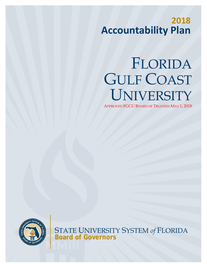# **2018 Accountability Plan**

# FLORIDA GULF COAST UNIVERSITY

APPROVED FGCU BOARD OF TRUSTEES MAY 1, 2018



STATE UNIVERSITY SYSTEM *of* FLORIDA **Board of Governors**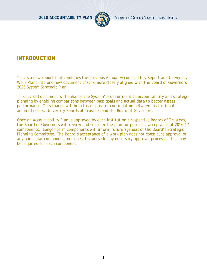

# **INTRODUCTION**

*This is a new report that combines the previous Annual Accountability Report and University Work Plans into one new document that is more closely aligned with the Board of Governors' 2025 System Strategic Plan.* 

*This revised document will enhance the System's commitment to accountability and strategic planning by enabling comparisons between past goals and actual data to better assess performance. This change will help foster greater coordination between institutional administrators, University Boards of Trustees and the Board of Governors.*

*Once an Accountability Plan is approved by each institution's respective Boards of Trustees, the Board of Governors will review and consider the plan for potential acceptance of 2016-17 components. Longer-term components will inform future agendas of the Board's Strategic Planning Committee. The Board's acceptance of a work plan does not constitute approval of any particular component, nor does it supersede any necessary approval processes that may be required for each component.*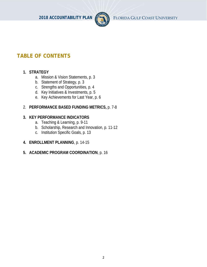

**2018 ACCOUNTABILITY PLAN** FLORIDA GULF COAST UNIVERSITY

# **TABLE OF CONTENTS**

# **1. STRATEGY**

- a. Mission & Vision Statements, p. 3
- b. Statement of Strategy, p. 3
- c. Strengths and Opportunities, p. 4
- d. Key Initiatives & Investments, p. 5
- e. Key Achievements for Last Year, p. 6

## 2. **PERFORMANCE BASED FUNDING METRICS,** p. 7-8

## **3. KEY PERFORMANCE INDICATORS**

- a. Teaching & Learning, p. 9-11
- b. Scholarship, Research and Innovation, p. 11-12
- c. Institution Specific Goals, p. 13
- **4. ENROLLMENT PLANNING**, p. 14-15
- **5. ACADEMIC PROGRAM COORDINATION**, p. 16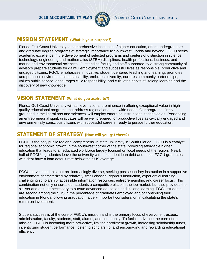

# **MISSION STATEMENT (What is your purpose?)**

Florida Gulf Coast University, a comprehensive institution of higher education, offers undergraduate and graduate degree programs of strategic importance to Southwest Florida and beyond. FGCU seeks academic excellence in the development of selected programs and centers of distinction in science, technology, engineering and mathematics (STEM) disciplines, health professions, business, and marine and environmental sciences. Outstanding faculty and staff supported by a strong community of advisors prepare students for gainful employment and successful lives as responsible, productive and engaged citizens. FGCU emphasizes innovative, student-centered teaching and learning, promotes and practices environmental sustainability, embraces diversity, nurtures community partnerships, values public service, encourages civic responsibility, and cultivates habits of lifelong learning and the discovery of new knowledge.

# **VISION STATEMENT (What do you aspire to?)**

Florida Gulf Coast University will achieve national prominence in offering exceptional value in highquality educational programs that address regional and statewide needs. Our programs, firmly grounded in the liberal arts and sciences, will employ emerging instructional technologies. Possessing an entrepreneurial spirit, graduates will be well prepared for productive lives as civically engaged and environmentally conscious citizens with successful careers, ready to pursue further education.

# **STATEMENT OF STRATEGY (How will you get there?)**

FGCU is the only public regional comprehensive state university in South Florida. FGCU is a catalyst for regional economic growth in the southwest corner of the state, providing affordable higher education that leads to an educated workforce largely focused on local needs of the region. Nearly half of FGCU's graduates leave the university with no student loan debt and those FGCU graduates with debt have a loan default rate below the SUS average.

FGCU serves students that are increasingly diverse, seeking postsecondary instruction in a supportive environment characterized by relatively small classes, rigorous instruction, experiential learning, challenging scholarship, accessible information resources, entrepreneurship, and career focus. This combination not only ensures our students a competitive place in the job market, but also provides the skillset and attitude necessary to pursue advanced education and lifelong learning. FGCU students are second among the SUS in the percentage of graduates employed and/or continuing their education in Florida following graduation: a very important consideration in calculating the state's return on investment.

Student success is at the core of FGCU's mission and is the primary focus of everyone: trustees, administration, faculty, students, staff, alumni, and community. To further advance the core of our mission, FGCU is becoming more pro-active, limiting enrollment growth, increasing scholarship funds, incentivizing student performance, fostering scholarship, and encouraging and rewarding educational efficiency.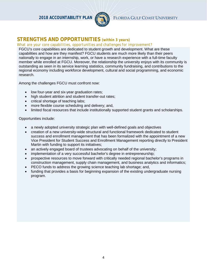

# **STRENGTHS AND OPPORTUNITIES** *(within 3 years)*

#### *What are your core capabilities, opportunities and challenges for improvement?*

FGCU's core capabilities are dedicated to student growth and development. What are these capabilities and how are they manifest? FGCU students are much more likely than their peers nationally to engage in an internship, work, or have a research experience with a full-time faculty member while enrolled at FGCU. Moreover, the relationship the university enjoys with its community is outstanding as seen in its service learning statistics, community fundraising, and contributions to the regional economy including workforce development, cultural and social programming, and economic research.

Among the challenges FGCU must confront now:

- low four-year and six-year graduation rates;
- high student attrition and student transfer-out rates;
- critical shortage of teaching labs;
- more flexible course scheduling and delivery; and,
- limited fiscal resources that include institutionally supported student grants and scholarships.

Opportunities include:

- a newly adopted university strategic plan with well-defined goals and objectives
- creation of a new university-wide structural and functional framework dedicated to student success and enrollment management that has been formalized with the appointment of a new Vice President for Student Success and Enrollment Management reporting directly to President Martin with funding to support its initiatives;
- an actively engaged board of trustees advocating on behalf of the university;
- implementation of a very successful bachelor's degree in entrepreneurship;
- prospective resources to move forward with critically needed regional bachelor's programs in construction management, supply chain management, and business analytics and informatics;
- PECO funds to address the growing science teaching lab shortage; and,
- funding that provides a basis for beginning expansion of the existing undergraduate nursing program.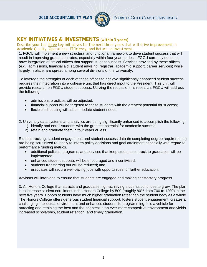

# **KEY INITIATIVES & INVESTMENTS** *(within 3 years)*

*Describe your top three key initiatives for the next three years that will drive improvement in Academic Quality, Operational Efficiency, and Return on Investment.*

1. FGCU will implement a new structural and functional framework to drive student success that will result in improving graduation rates, especially within four years or less. FGCU currently does not have integration of critical offices that support student success. Services provided by these offices (e.g., admissions, financial aid, student advising, registrar, academic support, career services) while largely in place, are spread among several divisions of the University.

To leverage the strengths of each of these offices to achieve significantly enhanced student success requires their integration into a cohesive unit that has direct input to the President. This unit will provide research on FGCU student success. Utilizing the results of this research, FGCU will address the following:

- admissions practices will be adjusted;
- financial support will be targeted to those students with the greatest potential for success;
- flexible scheduling will accommodate student needs;

2. University data systems and analytics are being significantly enhanced to accomplish the following:

- 1) identify and enroll students with the greatest potential for academic success
- 2) retain and graduate them in four years or less.

Student tracking, student engagement, and student success data (in completing degree requirements) are being scrutinized routinely to inform policy decisions and goal attainment especially with regard to performance funding metrics.

- additional policies, programs, and services that keep students on track to graduation will be implemented;
- enhanced student success will be encouraged and incentivized;
- students transferring out will be reduced; and,
- graduates will secure well-paying jobs with opportunities for further education.

Advisors will intervene to ensure that students are engaged and making satisfactory progress.

3. An Honors College that attracts and graduates high-achieving students continues to grow. The plan is to increase student enrollment in the Honors College by 500 (roughly 80% from 700 to 1200) in the next five years. Honors students have much higher graduation rates than the student body as a whole. The Honors College offers generous student financial support, fosters student engagement, creates a challenging intellectual environment and enhances student-life programming. It is a vehicle for attracting and retaining the best and the brightest in an ever-more competitive environment and yields increased scholarship, student retention, and timely graduation.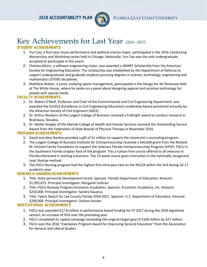

# Key Achievements for Last Year (2016 –2017)

#### **STUDENT ACHIEVEMENTS**

- 1. Yun Cao, a first-year music performance and political science major, participated in the 2016 Conducting Masterclass and Workshop series held in Chicago. Nationally, Yun Cao was the only undergraduate accepted to participate in this event.
- 2. Chelsea Atkins, a software engineering major, was awarded a SMART Scholarship from the American Society for Engineering Education. The scholarship was established by the Department of Defense to support undergraduate and graduate students pursuing degrees in science, technology, engineering and mathematics (STEM) disciplines.
- 3. Matthew Walzer, a junior studying sports management, participated in the Design for All Showcase held at The White House, where he spoke on a panel about designing apparel and assistive technology for people with special needs.

#### **FACULTY ACHIEVEMENTS**

- 1. Dr. Robert O'Neill, Professor and Chair of the Environmental and Civil Engineering Department, was awarded the ExCEEd (Excellence in Civil Engineering Education) Leadership Award presented annually by the American Society of Civil Engineers (ASCE).
- 2. Dr. Arthur Reubens of the Lutgert College of Business received a Fulbright award to conduct research in Bratislava, Slovakia.
- 3. Dr. Mollie Venglar of the Marieb College of Health and Human Services received the Outstanding Service Award from the Federation of State Boards of Physical Therapy in November 2016.

#### **PROGRAM ACHIEVEMENTS**

- 1. David and Alise Bartley provided a gift of \$1 million to support the University's counseling program.
- 2. The Lutgert College of Business Institute for Entrepreneurship received a \$40,000 grant from the Richard M. Schulze Family Foundation to support the Veterans Florida Entrepreneurship Program (VFEP). FGCU is the Southwest Florida chapter host of the program. This a tuition-free course offered to all veterans in Florida interested in starting a business. The 15-week course gives instruction in the nationally recognized Lean Startup method.
- 3. The FGCU Nursing program had the highest first-time pass rate on the NCLEX within the SUS during 16-17 academic year.

#### **RESEARCH AWARDS/ACHIEVEMENTS**

- 1. Title: State personnel Development Grant; Sponsor: Florida Department of Education; Amount: \$1,393,673. Principal Investigator: Margaret Sullivan.
- 2. Title: FGCU-Runway Program-Economic Incubators. Sponsor: Economic Incubators, Inc. Amount: \$250,000. Principal Investigator: Sandra Kauanui.
- 3. Title: Talent Search for Lee County Florida 2016-2021. Sponsor: U.S. Department of Education; Amount: \$240,000. Principal Investigator: Dolores Keisler.

#### **INSTITUTIONAL ACHIEVEMENTS**

- 1. FGCU was awarded \$17.8 million in performance-based funding for FY 2017 during the 2016 legislative session, an increase of 35% over the preceding year.
- 2. FGCU completed its capital campaign exceeding the original target goal of \$100 million by \$27 million.
- 3. FGCU won the 2016 "Exemplary Program Award for Improving General Education" from the Association for General and Liberal Studies.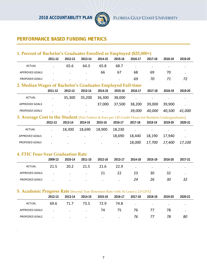

# **PERFORMANCE BASED FUNDING METRICS**

| 1. Percent of Bachelor's Graduates Enrolled or Employed (\$25,000+)                                  |                      |           |                      |                      |         |           |                |           |           |
|------------------------------------------------------------------------------------------------------|----------------------|-----------|----------------------|----------------------|---------|-----------|----------------|-----------|-----------|
|                                                                                                      | 2011-12              | 2012-13   | 2013-14              | 2014-15              | 2015-16 | 2016-17   | 2017-18        | 2018-19   | 2019-20   |
| <b>ACTUAL</b>                                                                                        |                      | 65.6      | 64.3                 | 65.8                 | 68.7    | $\bullet$ | $\bullet$      | $\bullet$ | $\bullet$ |
| <b>APPROVED GOALS</b>                                                                                |                      | $\bullet$ |                      | 66                   | 67      | 68        | 69             | 70        | $\bullet$ |
| <b>PROPOSED GOALS</b>                                                                                |                      |           |                      | $\cdot$              |         | 69        | 70             | 71        | 72        |
| 2. Median Wages of Bachelor's Graduates Employed Full-time                                           |                      |           |                      |                      |         |           |                |           |           |
|                                                                                                      | 2011-12              | 2012-13   | 2013-14              | 2014-15              | 2015-16 | 2016-17   | 2017-18        | 2018-19   | 2019-20   |
| <b>ACTUAL</b>                                                                                        | $\cdot$              | 35,300    | 35,200               | 36,300               | 38,000  | $\sim$    | $\blacksquare$ | $\bullet$ | $\bullet$ |
| <b>APPROVED GOALS</b>                                                                                | $\blacksquare$       | $\bullet$ |                      | 37,000               | 37,500  | 38,200    | 39,000         | 39,900    | $\bullet$ |
| <b>PROPOSED GOALS</b>                                                                                | $\cdot$              | $\bullet$ | $\bullet$            | $\ddot{\phantom{0}}$ |         | 39,000    | 40,000         | 40,500    | 41,000    |
| 3. Average Cost to the Student [Net Tuition & Fees per 120 Credit Hours for Resident Undergraduates] |                      |           |                      |                      |         |           |                |           |           |
|                                                                                                      | 2012-13              | 2013-14   | 2014-15              | 2015-16              | 2016-17 | 2017-18   | 2018-19        | 2019-20   | 2020-21   |
| <b>ACTUAL</b>                                                                                        |                      | 18,300    | 18,690               | 18,900               | 18,230  | $\bullet$ | $\bullet$      | $\bullet$ |           |
| <b>APPROVED GOALS</b>                                                                                | $\ddot{\phantom{0}}$ | $\bullet$ | $\ddot{\phantom{0}}$ | $\ddot{\phantom{0}}$ | 18,690  | 18,440    | 18,190         | 17,940    | $\bullet$ |
| <b>PROPOSED GOALS</b>                                                                                | $\bullet$            |           |                      |                      |         | 18,000    | 17,700         | 17,400    | 17,100    |
|                                                                                                      |                      |           |                      |                      |         |           |                |           |           |

# **4. FTIC Four-Year Graduation Rate**

.

|                       | 2009-13 | 2010-14                  | 2011-15 | 2012-16 | 2013-17 | 2014-18   | 2015-19   | 2016-20 | 2017-21   |
|-----------------------|---------|--------------------------|---------|---------|---------|-----------|-----------|---------|-----------|
| ACTUAL                | 21.5    | 20.2                     | 21.5    | 21.6    | 22.9    | $\bullet$ | $\bullet$ | $\cdot$ | $\bullet$ |
| APPROVED GOALS        |         | <b>Contract Contract</b> | $\cdot$ | 21      | 22      | 23        | 30        | 32      | ٠         |
| <b>PROPOSED GOALS</b> |         | $\cdot$                  | $\cdot$ | $\cdot$ | $\cdot$ | 24        | 26        | 30      | 32        |

# **5. Academic Progress Rate** [Second Year Retention Rate with At Least a 2.0 GPA]

|                       | 2012-13 | 2013-14                                      | 2014-15 | 2015-16                                                                    | 2016-17 | 2017-18                           | 2018-19 | 2019-20 | 2020-21   |
|-----------------------|---------|----------------------------------------------|---------|----------------------------------------------------------------------------|---------|-----------------------------------|---------|---------|-----------|
| ACTUAL                | 69.6    | 71.7                                         | 73.5    | 72.9                                                                       | 74.8    | the company's company's company's |         | $\sim$  | $\bullet$ |
| APPROVED GOALS        |         | the control of the control of the control of |         | 74                                                                         | 75      | 76                                | 77      | 78      | $\cdot$   |
| <b>PROPOSED GOALS</b> | $\cdot$ |                                              |         | the company of the company of the company of the company of the company of |         | 76                                | 77      | 78      | 80        |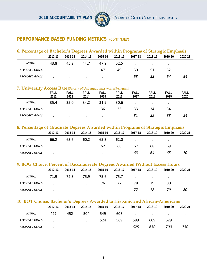

# **PERFORMANCE BASED FUNDING METRICS** (CONTINUED)

| 6. Percentage of Bachelor's Degrees Awarded within Programs of Strategic Emphasis |         |         |         |         |         |         |         |         |         |  |  |  |
|-----------------------------------------------------------------------------------|---------|---------|---------|---------|---------|---------|---------|---------|---------|--|--|--|
|                                                                                   | 2012-13 | 2013-14 | 2014-15 | 2015-16 | 2016-17 | 2017-18 | 2018-19 | 2019-20 | 2020-21 |  |  |  |
| ACTUAL                                                                            | 43.8    | 45.2    | 44.7    | 47.9    | 52.5    |         | $\cdot$ |         |         |  |  |  |
| APPROVED GOALS                                                                    |         |         |         | 47      | 49      | 50      | 51      | 52      |         |  |  |  |
| <b>PROPOSED GOALS</b>                                                             |         | $\cdot$ | $\cdot$ | $\cdot$ |         | 53      | 53      | 54      | 54      |  |  |  |

# **7. University Access Rate** [Percent of Undergraduates with a Pell grant]

|                       | <b>FALL</b><br>2012 | <b>FALL</b><br>2013 | $\sim$<br><b>FALL</b><br>2014 | <b>FALL</b><br>2015 | <b>FALL</b><br>2016 | FALL<br>2017 | <b>FALL</b><br>2018 | <b>FALL</b><br>2019 | <b>FALL</b><br>2020 |
|-----------------------|---------------------|---------------------|-------------------------------|---------------------|---------------------|--------------|---------------------|---------------------|---------------------|
| <b>ACTUAL</b>         | 35.4                | 35.0                | 34.2                          | 31.9                | 30.6                |              | $\bullet$           | $\bullet$           |                     |
| APPROVED GOALS        |                     | $\cdot$             |                               | 36                  | 33                  | 33           | 34                  | 34                  |                     |
| <b>PROPOSED GOALS</b> |                     | $\bullet$           | $\bullet$                     | $\cdot$             | $\cdot$             | 31           | 32                  | 33                  | 34                  |

#### **8. Percentage of Graduate Degrees Awarded within Programs of Strategic Emphasis**

|                       | 2012-13 | 2013-14                           | 2014-15   | 2015-16 | 2016-17 | 2017-18   | 2018-19   | 2019-20 | 2020-21 |
|-----------------------|---------|-----------------------------------|-----------|---------|---------|-----------|-----------|---------|---------|
| ACTUAL                | 66.2    | 63.6                              | 60.2      | 65.3    | 62.0    | $\bullet$ | $\bullet$ |         | ٠       |
| APPROVED GOALS        |         | <b>Contract Contract Contract</b> | $\bullet$ | 62      | 66      | 67        | 68        | 69      | ٠       |
| <b>PROPOSED GOALS</b> |         | $\bullet$                         | $\cdot$   | $\cdot$ |         | 63        | 64        | 65      | 70      |

#### **9. BOG Choice: Percent of Baccalaureate Degrees Awarded Without Excess Hours**

|                       | 2012-13 | 2013-14                                                                                                   | 2014-15                           | 2015-16                           | 2016-17 | 2017-18                                         | 2018-19 | 2019-20                         | 2020-21 |
|-----------------------|---------|-----------------------------------------------------------------------------------------------------------|-----------------------------------|-----------------------------------|---------|-------------------------------------------------|---------|---------------------------------|---------|
| ACTUAL                | 71.9    | 72.3                                                                                                      | 75.9                              | 75.6                              | 75.7    | the contract of the contract of the contract of |         | <b>Contract Contract Street</b> |         |
| APPROVED GOALS        |         | $\mathbf{r}$ and $\mathbf{r}$ are all $\mathbf{r}$ and $\mathbf{r}$ are all $\mathbf{r}$ and $\mathbf{r}$ |                                   | -76                               | - 77    | 78                                              | 79      | 80                              |         |
| <b>PROPOSED GOALS</b> |         | $\cdot$                                                                                                   | <b>Contract Contract Contract</b> | <b>Contract Contract Contract</b> |         |                                                 | 78      | 79                              | 80      |

#### **10. BOT Choice: Bachelor's Degrees Awarded to Hispanic and African-Americans**

|                       | 2012-13 | 2013-14                  | 2014-15                  | 2015-16 | 2016-17 | 2017-18 | 2018-19 | 2019-20   | 2020-21 |  |
|-----------------------|---------|--------------------------|--------------------------|---------|---------|---------|---------|-----------|---------|--|
| ACTUAL                | 427     | 452                      | 504                      | 549     | 608     | $\cdot$ | $\cdot$ | $\bullet$ |         |  |
| APPROVED GOALS        |         | <b>Contract Contract</b> | <b>Contract Contract</b> | 524     | 569     | 589     | 609     | 629       |         |  |
| <b>PROPOSED GOALS</b> |         | $\cdot$                  | $\bullet$                | $\cdot$ | $\cdot$ | 625     | 650     | 700       | 750     |  |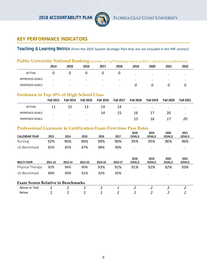

# **KEY PERFORMANCE INDICATORS**

# **Teaching & Learning Metrics** (from the 2025 System Strategic Plan that are not included in the PBF section)

# Public University National Ranking [Number of Top50 Rankings based on BOG's official list of publications]

|                       | 2014 | 2015      | 2016      | 2017      | 2018      | 2019      | 2020      | 2021      | 2022 |
|-----------------------|------|-----------|-----------|-----------|-----------|-----------|-----------|-----------|------|
| <b>ACTUAL</b>         |      |           |           |           |           | $\bullet$ | $\bullet$ | $\bullet$ |      |
| <b>APPROVED GOALS</b> |      | $\bullet$ | $\bullet$ | $\bullet$ | $\bullet$ | $\bullet$ | $\bullet$ | $\cdot$   |      |
| <b>PROPOSED GOALS</b> |      | $\cdot$   |           | $\bullet$ |           |           |           |           |      |

#### **Freshmen in Top 10% of High School Class**

|                       | <b>Fall 2013</b> | <b>Fall 2014</b> | <b>Fall 2015</b> | <b>Fall 2016</b> | <b>Fall 2017</b> | <b>Fall 2018</b> | <b>Fall 2019</b> | <b>Fall 2020</b> | <b>Fall 2021</b> |
|-----------------------|------------------|------------------|------------------|------------------|------------------|------------------|------------------|------------------|------------------|
| ACTUAL                | 11               | 15               | 13               | 14               | 14               | $\bullet$        | $\bullet$        | $\bullet$        |                  |
| APPROVED GOALS        |                  | $\cdot$          |                  | 14               | 15               | 16               |                  | 20               | $\bullet$        |
| <b>PROPOSED GOALS</b> |                  | $\bullet$        | $\cdot$          | $\cdot$          | $\cdot$          | 15               | 16               |                  | 20               |

# **Professional Licensure & Certification Exam First-time Pass Rates**

|                                           |         |         |                |                |         | 2018                 | 2019                 | 2020                 | 2021                 |
|-------------------------------------------|---------|---------|----------------|----------------|---------|----------------------|----------------------|----------------------|----------------------|
| <b>CALENDAR YEAR</b>                      | 2013    | 2014    | 2015           | 2016           | 2017    | <b>GOALS</b>         | <b>GOALS</b>         | <b>GOALS</b>         | <b>GOALS</b>         |
| <b>Nursing</b>                            | 92%     | 96%     | 96%            | 99%            | 90%     | 95%                  | 95%                  | 96%                  | 96%                  |
| US Benchmark                              | 85%     | 85%     | 87%            | 88%            | 90%     | $\cdot$              | ٠                    | $\cdot$              |                      |
| <b>MULTI-YEAR</b>                         | 2011-13 | 2012-14 | 2013-15        | 2014-16        | 2015-17 | 2018<br><b>GOALS</b> | 2019<br><b>GOALS</b> | 2020<br><b>GOALS</b> | 2021<br><b>GOALS</b> |
| Physical Therapy                          | 92%     | 96%     | 90%            | 93%            | 91%     | 91%                  | 92%                  | 92%                  | 93%                  |
| US Benchmark                              | 89%     | 90%     | 91%            | 92%            | 92%     | $\cdot$              |                      |                      | ٠                    |
| <b>Exam Scores Relative to Benchmarks</b> |         |         |                |                |         |                      |                      |                      |                      |
| Above or Tied                             | 2       | C,      | $\overline{2}$ | 2              | 1       | 2                    | 2                    | $\overline{2}$       | 2                    |
| Below                                     | 2       | C,      | 2              | $\overline{2}$ | 2       | 2                    | 2                    | 2                    | າ                    |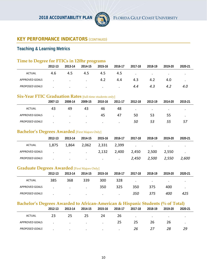

# **Teaching & Learning Metrics**

| Time to Degree for FTICs in 120hr programs                                      |         |         |         |         |                      |                      |                      |                      |                      |
|---------------------------------------------------------------------------------|---------|---------|---------|---------|----------------------|----------------------|----------------------|----------------------|----------------------|
|                                                                                 | 2012-13 | 2013-14 | 2014-15 | 2015-16 | 2016-17              | 2017-18              | 2018-19              | 2019-20              | 2020-21              |
| <b>ACTUAL</b>                                                                   | 4.6     | 4.5     | 4.5     | 4.5     | 4.5                  | $\bullet$            | $\ddot{\phantom{0}}$ | $\blacksquare$       |                      |
| APPROVED GOALS                                                                  |         |         |         | 4.2     | 4.4                  | 4.3                  | 4.2                  | 4.0                  | $\ddot{\phantom{0}}$ |
| <b>PROPOSED GOALS</b>                                                           |         |         |         |         | $\ddot{\phantom{0}}$ | 4.4                  | 4.3                  | 4.2                  | 4.0                  |
| <b>Six-Year FTIC Graduation Rates [full-time students only]</b>                 |         |         |         |         |                      |                      |                      |                      |                      |
|                                                                                 | 2007-13 | 2008-14 | 2009-15 | 2010-16 | 2011-17              | 2012-18              | 2013-19              | 2014-20              | 2015-21              |
| <b>ACTUAL</b>                                                                   | 43      | 49      | 43      | 46      | 48                   | $\ddot{\phantom{a}}$ | $\bullet$            | $\bullet$            | $\bullet$            |
| APPROVED GOALS                                                                  |         |         |         | 45      | 47                   | 50                   | 53                   | 55                   | $\bullet$            |
| PROPOSED GOALS                                                                  |         |         |         |         |                      | 50                   | 53                   | 55                   | 57                   |
| <b>Bachelor's Degrees Awarded [First Majors Only]</b>                           |         |         |         |         |                      |                      |                      |                      |                      |
|                                                                                 | 2012-13 | 2013-14 | 2014-15 | 2015-16 | 2016-17              | 2017-18              | 2018-19              | 2019-20              | 2020-21              |
| ACTUAL                                                                          | 1,875   | 1,864   | 2,062   | 2,331   | 2,399                | $\cdot$              | $\ddot{\phantom{a}}$ | $\ddot{\phantom{a}}$ | $\ddot{\phantom{0}}$ |
| APPROVED GOALS                                                                  |         |         |         | 2,132   | 2,400                | 2,450                | 2,500                | 2,550                | $\ddot{\phantom{a}}$ |
| PROPOSED GOALS                                                                  |         |         |         |         |                      | 2,450                | 2,500                | 2,550                | 2,600                |
| <b>Graduate Degrees Awarded [First Majors Only]</b>                             |         |         |         |         |                      |                      |                      |                      |                      |
|                                                                                 | 2012-13 | 2013-14 | 2014-15 | 2015-16 | 2016-17              | 2017-18              | 2018-19              | 2019-20              | 2020-21              |
| <b>ACTUAL</b>                                                                   | 385     | 368     | 339     | 300     | 328                  |                      | $\blacksquare$       |                      | $\bullet$            |
| APPROVED GOALS                                                                  |         |         |         | 350     | 325                  | 350                  | 375                  | 400                  | $\bullet$            |
| PROPOSED GOALS                                                                  |         |         |         |         |                      | 350                  | 375                  | 400                  | 425                  |
| Bachelor's Degrees Awarded to African-American & Hispanic Students (% of Total) |         |         |         |         |                      |                      |                      |                      |                      |
|                                                                                 | 2012-13 | 2013-14 | 2014-15 | 2015-16 | 2016-17              | 2017-18              | 2018-19              | 2019-20              | 2020-21              |
| <b>ACTUAL</b>                                                                   | 23      | 25      | 25      | 24      | 26                   |                      |                      |                      |                      |
| <b>APPROVED GOALS</b>                                                           |         |         |         |         | 25                   | 25                   | 26                   | 26                   |                      |

*PROPOSED GOALS . . . . . 26 27 28 29*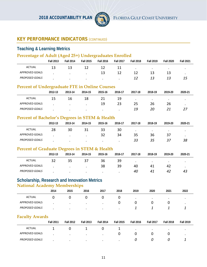

# **Teaching & Learning Metrics**

# **Percentage of Adult (Aged 25+) Undergraduates Enrolled**

|                       | <b>Fall 2013</b> | <b>Fall 2014</b> | <b>Fall 2015</b> | <b>Fall 2016</b> | <b>Fall 2017</b> | <b>Fall 2018</b> | <b>Fall 2019</b> | <b>Fall 2020</b> | <b>Fall 2021</b> |
|-----------------------|------------------|------------------|------------------|------------------|------------------|------------------|------------------|------------------|------------------|
| <b>ACTUAL</b>         | 13               | 13               |                  |                  |                  | $\bullet$        | $\bullet$        | $\bullet$        |                  |
| <b>APPROVED GOALS</b> |                  | $\bullet$        | $\bullet$        | 13               |                  |                  | 13               |                  |                  |
| <b>PROPOSED GOALS</b> |                  |                  |                  | $\bullet$        |                  |                  | 13               |                  | 15               |

# **Percent of Undergraduate FTE in Online Courses**

|                       | 2012-13 | 2013-14   | 2014-15 | 2015-16 | 2016-17 | 2017-18   | 2018-19   | 2019-20   | 2020 21   |
|-----------------------|---------|-----------|---------|---------|---------|-----------|-----------|-----------|-----------|
| ACTUAL                | 15      | 16        | 18      |         | 19      | $\bullet$ | $\bullet$ | $\bullet$ | $\bullet$ |
| APPROVED GOALS        |         |           |         | 19      |         | 25        | 26        | 26        | $\bullet$ |
| <b>PROPOSED GOALS</b> |         | $\bullet$ |         | $\cdot$ |         | 19        | 20        |           |           |

### **Percent of Bachelor's Degrees in STEM & Health**

|                       | 2012-13 | 2013-14 | 2014-15 | 2015-16   | 2016-17   | 2017-18   | 2018-19 | 2019-20   | 2020 21 |
|-----------------------|---------|---------|---------|-----------|-----------|-----------|---------|-----------|---------|
| <b>ACTUAL</b>         | 28      | 30      | 31      | 33        | 30        | $\bullet$ |         | $\bullet$ |         |
| <b>APPROVED GOALS</b> |         |         |         | 32        | 34        | 35        | 36      | 37        |         |
| <b>PROPOSED GOALS</b> |         | $\cdot$ | $\cdot$ | $\bullet$ | $\bullet$ | 33        | 35      |           | 38      |

## **Percent of Graduate Degrees in STEM & Health**

|                       | 2012-13 | 2013-14   | 2014-15   | 2015-16 | 2016-17 | 2017-18   | 2018-19 | 2019-20   | 2020-21 |
|-----------------------|---------|-----------|-----------|---------|---------|-----------|---------|-----------|---------|
| ACTUAL                |         | 35        | 37        | 36      | 39      | $\bullet$ | $\cdot$ | $\bullet$ | ٠       |
| <b>APPROVED GOALS</b> |         | $\bullet$ | $\bullet$ | 38      | 39      | 40        | 41      | 42        |         |
| <b>PROPOSED GOALS</b> |         | $\bullet$ | $\cdot$   | $\cdot$ | $\cdot$ | 40        | 41      | 42        | 43      |

#### **Scholarship, Research and Innovation Metrics National Academy Memberships**

|                       | 2014 | 2015      | $\sim$<br>2016 | 2017      | 2018 | 2019 | 2020 | 2021 | 2022 |
|-----------------------|------|-----------|----------------|-----------|------|------|------|------|------|
| <b>ACTUAL</b>         |      |           |                |           | U    |      |      |      |      |
| <b>APPROVED GOALS</b> |      | $\bullet$ | $\bullet$      | $\bullet$ |      | U    |      |      |      |
| <b>PROPOSED GOALS</b> |      |           |                |           |      |      |      |      |      |

## **Faculty Awards**

|                       | <b>Fall 2011</b> | <b>Fall 2012</b> | <b>Fall 2013</b> | <b>Fall 2014</b> | <b>Fall 2015</b> | <b>Fall 2016</b> | <b>Fall 2017</b> | <b>Fall 2018</b> | <b>Fall 2019</b> |
|-----------------------|------------------|------------------|------------------|------------------|------------------|------------------|------------------|------------------|------------------|
| ACTUAL                |                  |                  |                  |                  | ᅩ                | $\cdot$          | $\bullet$        | $\bullet$        |                  |
| APPROVED GOALS        |                  |                  | $\bullet$        | $\bullet$        |                  |                  |                  |                  |                  |
| <b>PROPOSED GOALS</b> |                  | $\bullet$        | $\cdot$          | $\cdot$          | $\cdot$          |                  |                  |                  |                  |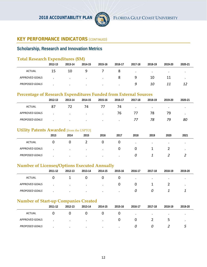

# **Scholarship, Research and Innovation Metrics**

# **Total Research Expenditures (\$M)**

|                       | 2012-13 | 2013-14   | 2014-15   | 2015-16   | 2016-17 | 2017-18   | 2018-19   | 2019-20   | 2020 21 |
|-----------------------|---------|-----------|-----------|-----------|---------|-----------|-----------|-----------|---------|
| <b>ACTUAL</b>         | 15      | 10        |           |           |         | $\bullet$ | $\bullet$ | $\bullet$ |         |
| <b>APPROVED GOALS</b> |         | $\cdot$   | $\bullet$ | $\bullet$ |         | q         | 10        |           |         |
| <b>PROPOSED GOALS</b> |         | $\bullet$ | $\cdot$   | $\bullet$ | $\cdot$ | q         | 10        |           |         |

#### **Percentage of Research Expenditures Funded from External Sources**

|                       | 2012-13 | 2013-14   | 2014-15   | 2015-16   | 2016-17 | 2017-18   | 2018-19   | 2019-20   | 2020-21   |
|-----------------------|---------|-----------|-----------|-----------|---------|-----------|-----------|-----------|-----------|
| <b>ACTUAL</b>         | 87      |           | 74        |           | 74      | $\bullet$ | $\bullet$ | $\bullet$ | $\bullet$ |
| APPROVED GOALS        |         | $\cdot$   | $\bullet$ | $\bullet$ | 76      | 77        | 78        | 79        | ٠         |
| <b>PROPOSED GOALS</b> |         | $\bullet$ | $\cdot$   | $\bullet$ | $\cdot$ |           | 78        | 79        | 80        |

## **Utility Patents Awarded** [from the USPTO]

| $\sim$                | 2013 | 2014      | 2015    | 2016      | 2017 | 2018      | 2019      | 2020      | 2021 |
|-----------------------|------|-----------|---------|-----------|------|-----------|-----------|-----------|------|
| ACTUAL                |      | U         |         |           |      | $\bullet$ | $\bullet$ | $\bullet$ |      |
| <b>APPROVED GOALS</b> |      | $\bullet$ | $\cdot$ | $\bullet$ |      | υ         |           |           |      |
| <b>PROPOSED GOALS</b> |      | $\cdot$   | $\cdot$ | $\cdot$   |      |           |           |           |      |

## **Number of Licenses/Options Executed Annually**

|                       | 2011-12 | 2012-13   | 2013-14   | 2014-15   | 2015-16 | 2016-17   | 2017-18   | 2018-19   | 2019-20   |
|-----------------------|---------|-----------|-----------|-----------|---------|-----------|-----------|-----------|-----------|
| ACTUAL                |         |           |           | υ         |         | $\bullet$ | $\bullet$ | $\bullet$ | ٠         |
| APPROVED GOALS        |         | $\cdot$   | $\bullet$ | $\bullet$ | U       |           |           |           | $\bullet$ |
| <b>PROPOSED GOALS</b> |         | $\bullet$ | $\cdot$   | $\cdot$   | $\cdot$ |           | U         |           |           |

# **Number of Start-up Companies Created**

|                       | 2011-12 | 2012-13   | 2013-14 | 2014-15   | 2015-16 | 2016 17   | 2017-18   | 2018-19   | 2019-20   |
|-----------------------|---------|-----------|---------|-----------|---------|-----------|-----------|-----------|-----------|
| <b>ACTUAL</b>         |         |           |         |           |         | $\bullet$ | $\bullet$ | $\bullet$ | $\bullet$ |
| APPROVED GOALS        | ٠       | $\bullet$ | $\cdot$ | $\bullet$ |         |           | -         |           | $\bullet$ |
| <b>PROPOSED GOALS</b> |         |           | $\cdot$ |           |         |           |           |           |           |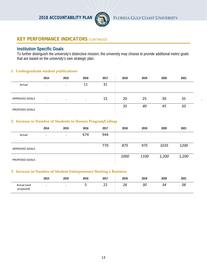

#### **Institution Specific Goals**

To further distinguish the university's distinctive mission, the university may choose to provide additional metric goals that are based on the university's own strategic plan.

#### **1. Undergraduate student publications**

|                       | 2014    | 2015      | 2016    | 2017 | 2018 | 2019 | 2020 | 2021 |  |
|-----------------------|---------|-----------|---------|------|------|------|------|------|--|
| Actual                | $\cdot$ | $\bullet$ | 11      | 31   |      |      |      |      |  |
| $\cdot$               |         |           |         |      |      |      |      |      |  |
| <b>APPROVED GOALS</b> |         | $\cdot$   | $\cdot$ | 15   | 20   | 25   | 30   | 35   |  |
| PROPOSED GOALS        |         |           |         |      | 35   | 40   | 45   | 50   |  |

#### **2. Increase in Number of Students in Honors Program/College**

|                       | 2014      | 2015      | 2016 | 2017 | 2018 | 2019 | 2020  | 2021  |
|-----------------------|-----------|-----------|------|------|------|------|-------|-------|
| Actual                | $\bullet$ | $\bullet$ | 674  | 944  |      |      |       |       |
| $\cdot$               |           |           |      |      |      |      |       |       |
| <b>APPROVED GOALS</b> |           |           |      | 770  | 875  | 975  | 1035  | 1200  |
|                       |           |           |      |      |      |      |       |       |
|                       |           |           |      |      | 1000 | 1100 | 1,200 | 1,200 |
| <b>PROPOSED GOALS</b> |           |           |      |      |      |      |       |       |

#### **3. Increase in Number of Student Entrepreneurs Starting a Business**

|                          | 2014 | 2015 | 2016 | 2017            | 2018         | 2019 | 2020 | 2021 |
|--------------------------|------|------|------|-----------------|--------------|------|------|------|
| Actual (and<br>proposed) |      |      | ے    | ີ<br><u>_ _</u> | $\sim$<br>26 | 30   | 34   | 38   |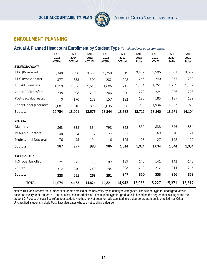

# **ENROLLMENT PLANNING**

#### **Actual & Planned Headcount Enrollment by Student Type** *(for all students at all campuses)*

|                              | <b>FALL</b><br>2013<br><b>ACTUAL</b> | <b>FALL</b><br>2014<br><b>ACTUAL</b> | <b>FALL</b><br>2015<br><b>ACTUAL</b> | <b>FALL</b><br>2016<br><b>ACTUAL</b> | <b>FALL</b><br>2017<br><b>ACTUAL</b> | <b>FALL</b><br>2018<br><b>PLAN</b> | <b>FALL</b><br>2019<br><b>PLAN</b> | <b>FALL</b><br>2020<br><b>PLAN</b> | <b>FALL</b><br>2021<br><b>PLAN</b> |
|------------------------------|--------------------------------------|--------------------------------------|--------------------------------------|--------------------------------------|--------------------------------------|------------------------------------|------------------------------------|------------------------------------|------------------------------------|
| <b>UNDERGRADUATE</b>         |                                      |                                      |                                      |                                      |                                      |                                    |                                    |                                    |                                    |
| FTIC (Regular Admit)         | 8,348                                | 8,998                                | 9,351                                | 9,258                                | 9,319                                | 9,412                              | 9,506                              | 9,601                              | 9,697                              |
| FTIC (Profile Admit)         | 377                                  | 353                                  | 301                                  | 282                                  | 248                                  | 245                                | 240                                | 235                                | 230                                |
| <b>FCS AA Transfers</b>      | 1,710                                | 1,656                                | 1,640                                | 1,606                                | 1,717                                | 1,734                              | 1,751                              | 1,769                              | 1,787                              |
| Other AA Transfers           | 238                                  | 208                                  | 210                                  | 206                                  | 220                                  | 222                                | 224                                | 226                                | 228                                |
| Post-Baccalaureates          | $\mathbf 0$                          | 170                                  | 178                                  | 157                                  | 182                                  | 183                                | 185                                | 187                                | 189                                |
| Other Undergraduates         | 2,081                                | 1,816                                | 1,896                                | 2,035                                | 1,896                                | 1,915                              | 1,934                              | 1,953                              | 1,973                              |
| Subtotal                     | 12,754                               | 13,201                               | 13,576                               | 13,544                               | 13,582                               | 13,711                             | 13,840                             | 13,971                             | 14,104                             |
| <b>GRADUATE</b>              |                                      |                                      |                                      |                                      |                                      |                                    |                                    |                                    |                                    |
| Master's                     | 863                                  | 838                                  | 834                                  | 798                                  | 822                                  | 830                                | 838                                | 846                                | 854                                |
| Research Doctoral            | 48                                   | 64                                   | 52                                   | 72                                   | 67                                   | 68                                 | 69                                 | 70                                 | 71                                 |
| <b>Professional Doctoral</b> | 76                                   | 95                                   | 94                                   | 116                                  | 125                                  | 126                                | 127                                | 128                                | 129                                |
| Subtotal                     | 987                                  | 997                                  | 980                                  | 986                                  | 1,014                                | 1,024                              | 1,034                              | 1,044                              | 1,054                              |
| <b>UNCLASSIFIED</b>          |                                      |                                      |                                      |                                      |                                      |                                    |                                    |                                    |                                    |
| H.S. Dual Enrolled           | 21                                   | 25                                   | 28                                   | 97                                   | 139                                  | 140                                | 141                                | 142                                | 143                                |
| Other $1$                    | 312                                  | 240                                  | 240                                  | 194                                  | 208                                  | 210                                | 212                                | 214                                | 216                                |
| Subtotal                     | 333                                  | 265                                  | 268                                  | 291                                  | 347                                  | 350                                | 353                                | 356                                | 359                                |
| <b>TOTAL</b>                 | 14,074                               | 14,463                               | 14,824                               | 14,821                               | 14,943                               | 15,085                             | 15,227                             | 15,371                             | 15,517                             |

Notes: This table reports the number of students enrolled at the university by student type categories. The student type for undergraduates is based on the Type of Student at Time of Most Recent Admission. The student type for graduates is based on the degree that is sought and the student CIP code. Unclassified refers to a student who has not yet been formally admitted into a degree program but is enrolled. (1) 'Other Unclassified' students include Post-Baccalaureates who are not seeking a degree.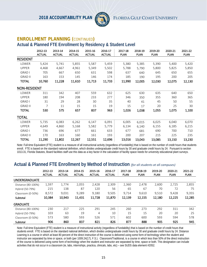

#### **ENROLLMENT PLANNING (**CONTINUED**)**

#### **Actual & Planned FTE Enrollment by Residency & Student Level**

|                     | 2012-13<br><b>ACTUAL</b> | 2013-14<br><b>ACTUAL</b> | 2014-15<br><b>ACTUAL</b> | 2015-16<br><b>ACTUAL</b> | 2016-17<br><b>ACTUAL</b> | 2017-18<br><b>PLAN</b> | 2018-19<br><b>PLAN</b> | 2019-20<br><b>PLAN</b> | 2020-21<br><b>PLAN</b> | 2021-22<br><b>PLAN</b> |
|---------------------|--------------------------|--------------------------|--------------------------|--------------------------|--------------------------|------------------------|------------------------|------------------------|------------------------|------------------------|
| <b>RESIDENT</b>     |                          |                          |                          |                          |                          |                        |                        |                        |                        |                        |
| LOWER               | 5,424                    | 5,741                    | 5,855                    | 5,587                    | 5,459                    | 5,380                  | 5,385                  | 5,390                  | 5,400                  | 5,420                  |
| <b>UPPER</b>        | 4,468                    | 4,667                    | 4,961                    | 5,349                    | 5,502                    | 5,788                  | 5,790                  | 5,800                  | 5,825                  | 5,850                  |
| <b>GRAD I</b>       | 705                      | 667                      | 650                      | 631                      | 598                      | 637                    | 640                    | 645                    | 650                    | 655                    |
| <b>GRAD II</b>      | 163                      | 153                      | 145                      | 146                      | 174                      | 185                    | 190                    | 195                    | 200                    | 205                    |
| <b>TOTAL</b>        | 10,760                   | 11,228                   | 11,610                   | 11,713                   | 11,733                   | 11,990                 | 12,005                 | 12,030                 | 12,075                 | 12,130                 |
| <b>NON-RESIDENT</b> |                          |                          |                          |                          |                          |                        |                        |                        |                        |                        |
| LOWER               | 311                      | 342                      | 407                      | 559                      | 632                      | 625                    | 630                    | 635                    | 640                    | 650                    |
| <b>UPPER</b>        | 180                      | 194                      | 208                      | 233                      | 277                      | 346                    | 350                    | 355                    | 360                    | 365                    |
| <b>GRAD I</b>       | 31                       | 29                       | 28                       | 30                       | 35                       | 40                     | 41                     | 45                     | 50                     | 55                     |
| <b>GRAD II</b>      | 7                        | 11                       | 15                       | 15                       | 19                       | 15                     | 17                     | 20                     | 25                     | 30                     |
| <b>TOTAL</b>        | 530                      | 575                      | 657                      | 837                      | 963                      | 1,026                  | 1,038                  | 1,055                  | 1,075                  | 1,100                  |
| TOTAL               |                          |                          |                          |                          |                          |                        |                        |                        |                        |                        |
| LOWER               | 5,735                    | 6,083                    | 6,262                    | 6,147                    | 6,091                    | 6,005                  | 6,015                  | 6,025                  | 6,040                  | 6,070                  |
| <b>UPPER</b>        | 4,649                    | 4,860                    | 5,168                    | 5,582                    | 5,779                    | 6,134                  | 6,140                  | 6,155                  | 6,185                  | 6,215                  |
| <b>GRAD I</b>       | 736                      | 696                      | 677                      | 661                      | 633                      | 677                    | 681                    | 690                    | 700                    | 710                    |
| <b>GRAD II</b>      | 170                      | 163                      | 160                      | 161                      | 193                      | 200                    | 207                    | 215                    | 225                    | 235                    |
| <b>TOTAL</b>        | 11,290                   | 11,802                   | 12,267                   | 12,551                   | 12,696                   | 13,016                 | 13,043                 | 13,085                 | 13,150                 | 13,230                 |

Note: Full-time Equivalent (FTE) student is a measure of all instructional activity (regardless of fundability) that is based on the number of credit hours that students enroll. FTE is based on the standard national definition, which divides undergraduate credit hours by 30 and graduate credit hours by 24. Pursuant to section 1013.31, Florida Statutes, Board facilities staff use this data as a key factor in the calculation of facility space needs for university educational plant surveys.

# **Actual & Planned FTE Enrollment by Method of Instruction** *(for all students at all campuses)*

|                    | 2012-13<br><b>ACTUAL</b> | 2013-14<br><b>ACTUAL</b> | 2014-15<br><b>ACTUAL</b> | 2015-16<br><b>ACTUAL</b> | 2016-17<br><b>ACTUAL</b> | 2017-18<br><b>PLAN</b> | 2018-19<br><b>PLAN</b> | 2019-20<br><b>PLAN</b> | 2020-21<br><b>PLAN</b> | 2021-22<br><b>PLAN</b> |
|--------------------|--------------------------|--------------------------|--------------------------|--------------------------|--------------------------|------------------------|------------------------|------------------------|------------------------|------------------------|
| UNDERGRADUATE      |                          |                          |                          |                          |                          |                        |                        |                        |                        |                        |
| Distance (80-100%) | 1,597                    | 1,774                    | 2,055                    | 2,428                    | 2,309                    | 2,360                  | 2,478                  | 2,600                  | 2,725                  | 2,855                  |
| Hybrid (50-79%)    | 215                      | 138                      | 87                       | 120                      | 56                       | 65                     | 67                     | 70                     | 72                     | 75                     |
| Classroom (0-50%)  | 8,572                    | 9,031                    | 9,289                    | 9.180                    | 9,505                    | 9.714                  | 9,610                  | 9,510                  | 9,428                  | 9,355                  |
| Subtotal           | 10,384                   | 10,943                   | 11,431                   | 11,728                   | 11,870                   | 12,139                 | 12,155                 | 12,180                 | 12,225                 | 12,285                 |
| <b>GRADUATE</b>    |                          |                          |                          |                          |                          |                        |                        |                        |                        |                        |
| Distance (80-100%) | 230                      | 217                      | 225                      | 291                      | 245                      | 260                    | 273                    | 292                    | 311                    | 342                    |
| Hybrid (50-79%)    | 103                      | 63                       | 19                       | 4                        | 10                       | 15                     | 15                     | 20                     | 20                     | 25                     |
| Classroom (0-50%)  | 573                      | 580                      | 593                      | 526                      | 571                      | 602                    | 600                    | 593                    | 594                    | 578                    |
| Subtotal           | 906                      | 860                      | 837                      | 821                      | 826                      | 877                    | 888                    | 905                    | 925                    | 945                    |

Note: Full-time Equivalent (FTE) student is a measure of instructional activity (regardless of fundability) that is based on the number of credit hours that students enroll. FTE is based on the standard national definition, which divides undergraduate credit hours by 30 and graduate credit hours by 24. Distance Learning is a course in which at least 80 percent of the direct instruction of the course is delivered using some form of technology when the student and instructor are separated by time or space, or both (per 1009.24(17), F.S.). Classroom/Traditional, is a course in which less than 50% of the direct instruction of the course is delivered using some form of technology when the student and instructor are separated by time, space or both. This designation can include activities that do not occur in a classroom (ie, labs, internships, practica, clinicals, labs, etc) – see SUDS data element #2052.